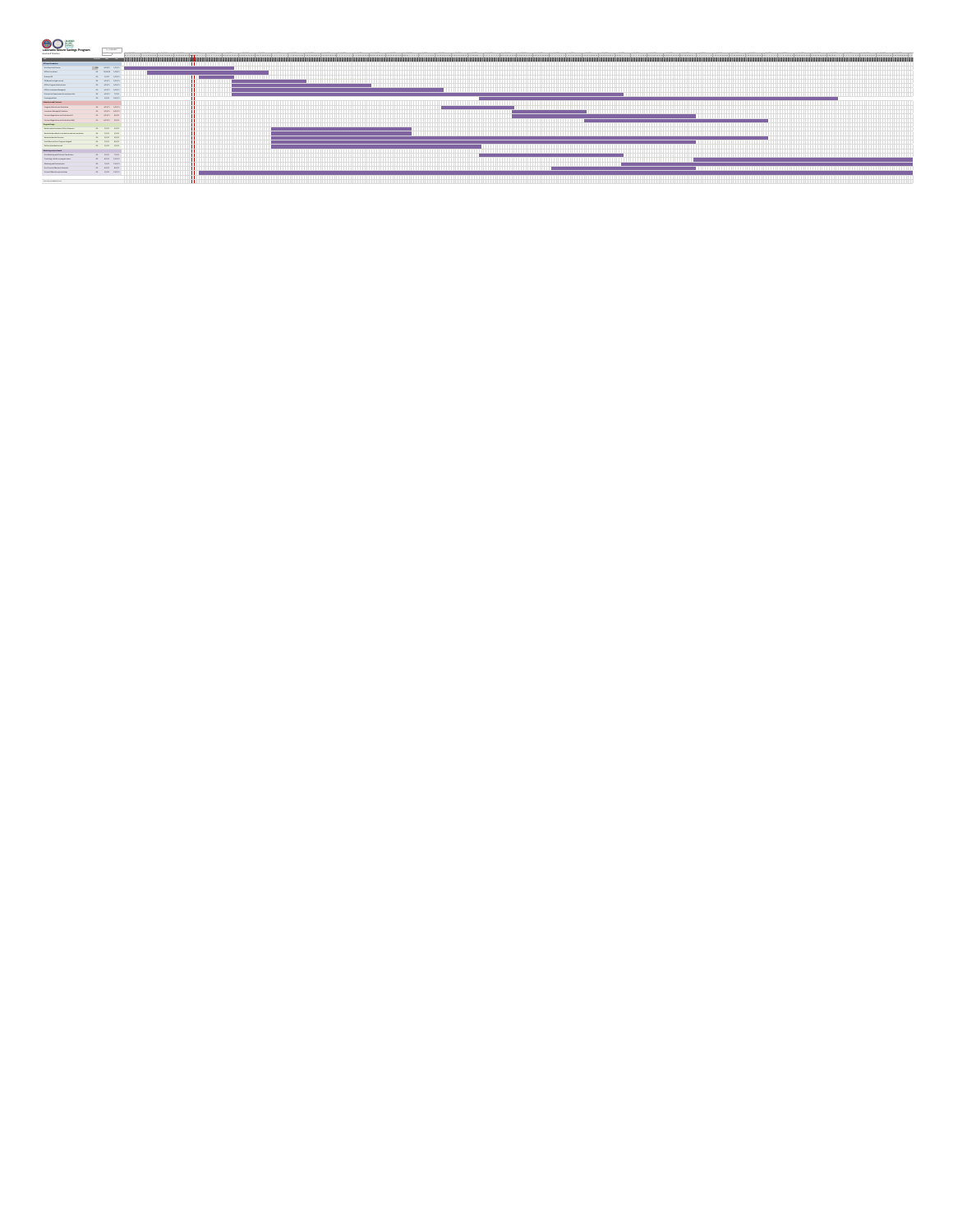|                                                       | <b>PLANERS</b>             |                                              |                                                                 |  |  |  |  |  |
|-------------------------------------------------------|----------------------------|----------------------------------------------|-----------------------------------------------------------------|--|--|--|--|--|
|                                                       | $-$                        |                                              |                                                                 |  |  |  |  |  |
|                                                       | ----                       |                                              |                                                                 |  |  |  |  |  |
| <b>MARGARET</b>                                       |                            |                                              |                                                                 |  |  |  |  |  |
| <b>BUNGARING</b>                                      | an even con-               |                                              |                                                                 |  |  |  |  |  |
| <b>RESIDENCE</b>                                      | <b>Ph. Monte Abbre</b>     |                                              |                                                                 |  |  |  |  |  |
| <b>BOWER</b>                                          | an anni anni:              |                                              |                                                                 |  |  |  |  |  |
| <b>Ritual Encycloped</b>                              | <b>In ann ann</b>          |                                              |                                                                 |  |  |  |  |  |
| <b>BENEQUARISHED</b>                                  | m away away                |                                              |                                                                 |  |  |  |  |  |
| <b>BY N THAT'S TANKER</b>                             | in anno anno               |                                              |                                                                 |  |  |  |  |  |
| <b>NOW? IS READY NOT BY</b>                           | <b>CONTRACTOR</b><br>1.500 |                                              |                                                                 |  |  |  |  |  |
| <b>Ballystown</b>                                     | an anni ponti              |                                              |                                                                 |  |  |  |  |  |
|                                                       |                            |                                              |                                                                 |  |  |  |  |  |
| <b>Form Montgomerand</b>                              | in anno statu-             |                                              |                                                                 |  |  |  |  |  |
| <b><i>RABTAST MATAITER MARTIN</i></b>                 | an anon anno               | the control of the control of the control of |                                                                 |  |  |  |  |  |
| <b>BUTAT BASEAUX AUTOMOBILES</b>                      | m ann ann                  |                                              |                                                                 |  |  |  |  |  |
| <b>NUMBER OF STREET</b>                               | m away away                |                                              |                                                                 |  |  |  |  |  |
|                                                       |                            |                                              |                                                                 |  |  |  |  |  |
| <b>Build come meetings has a major</b>                | m ann ann                  |                                              |                                                                 |  |  |  |  |  |
| <b>Black Art Assistant Loan Building and Arts and</b> | m ann ann                  |                                              |                                                                 |  |  |  |  |  |
| <b>BALLACAN TANK</b>                                  | m ann ann                  |                                              | the contract of the contract of the contract of the contract of |  |  |  |  |  |
| <b>Malindra Malinda Ave</b>                           | m ann ann                  |                                              |                                                                 |  |  |  |  |  |
| <b>BELEVILLE BOATLES</b>                              | m ann ann                  |                                              |                                                                 |  |  |  |  |  |
| Multuring ent production                              |                            |                                              |                                                                 |  |  |  |  |  |
| <b>BONDARD BENTALISTAN</b>                            | an anni san                |                                              |                                                                 |  |  |  |  |  |
| <b>Reducings, Autobiological program canter</b>       | m ann snar                 |                                              |                                                                 |  |  |  |  |  |
| <b>MOVING AS DESIGNATION</b>                          | m that some                |                                              |                                                                 |  |  |  |  |  |
| <b>BUSINESS MARINESES</b>                             | m ann ann                  |                                              |                                                                 |  |  |  |  |  |
| <b><i>BACKRACK HOMES</i></b>                          | <b>Philadelphia States</b> |                                              |                                                                 |  |  |  |  |  |
|                                                       |                            |                                              |                                                                 |  |  |  |  |  |
| <b>RADIO DESTROYER</b>                                |                            |                                              |                                                                 |  |  |  |  |  |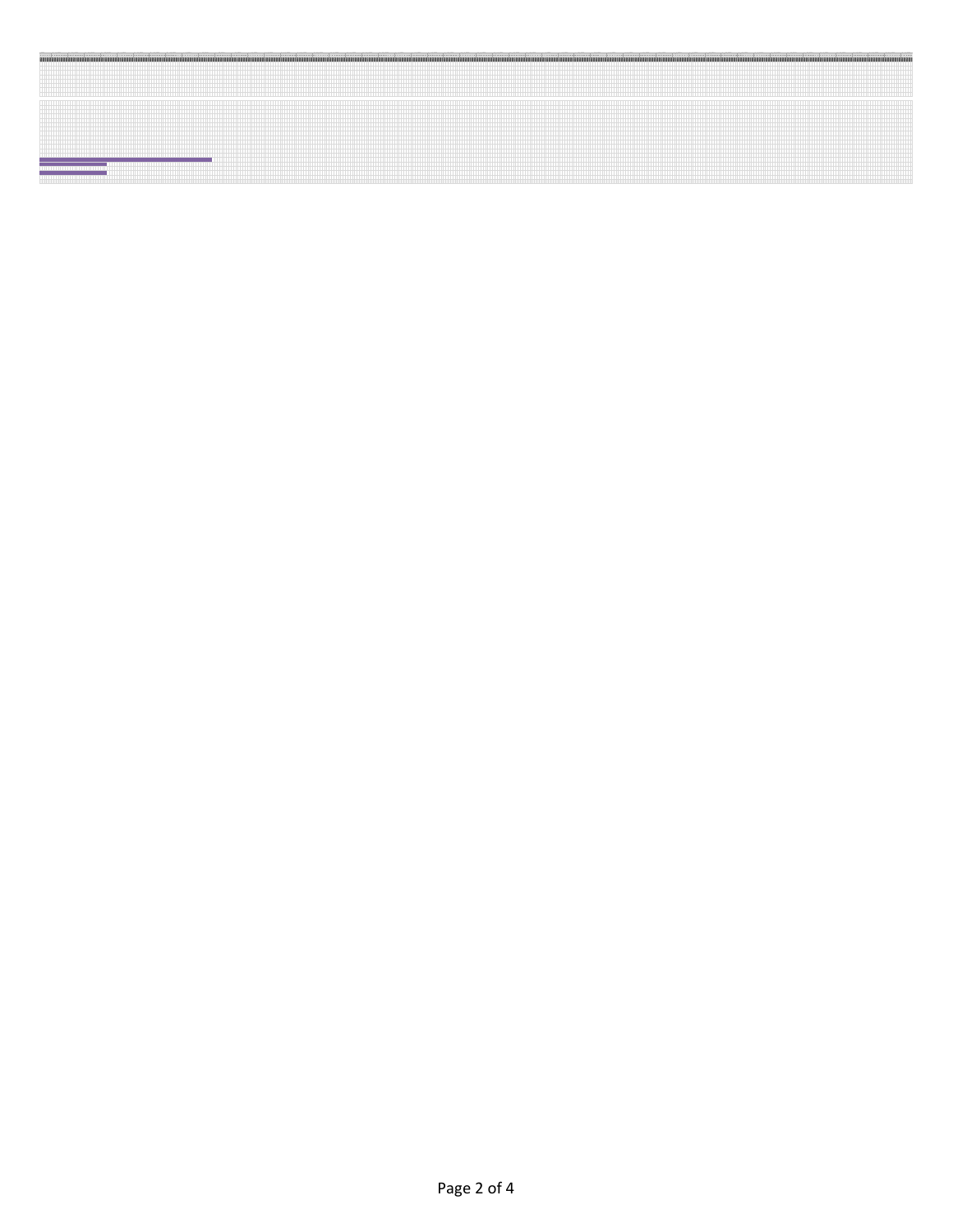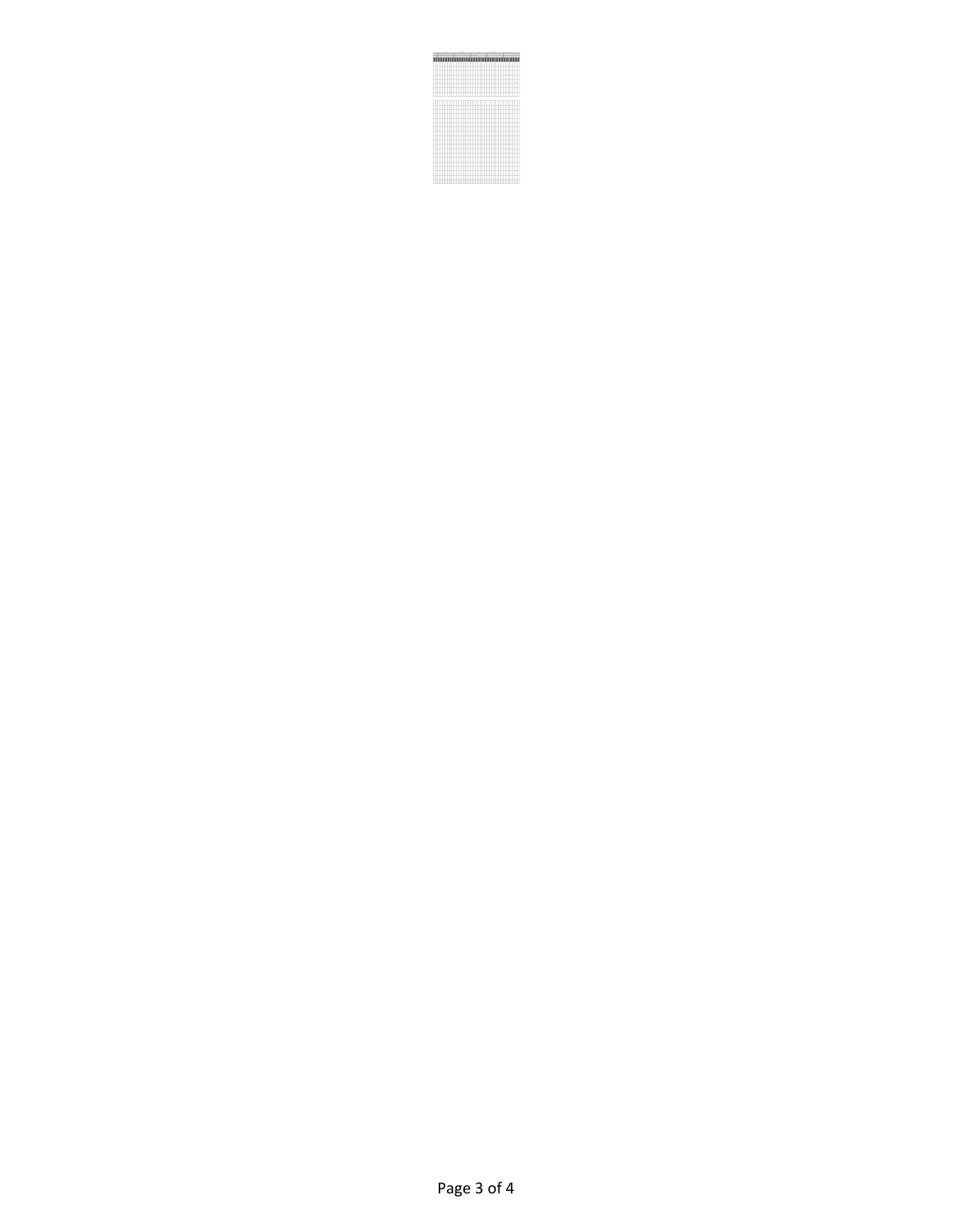